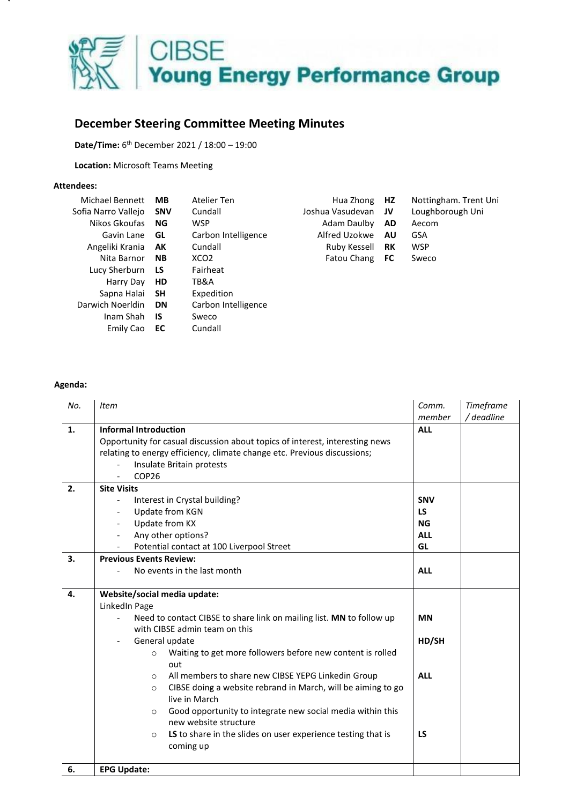

## **December Steering Committee Meeting Minutes**

**Date/Time:** 6 th December 2021 / 18:00 – 19:00

**Location:** Microsoft Teams Meeting

## **Attendees:**

| Michael Bennett     | <b>MB</b>  | Atelier Ten         | Hua Zhong        | HZ.       | Nottingham. Trent Uni |
|---------------------|------------|---------------------|------------------|-----------|-----------------------|
| Sofia Narro Valleio | <b>SNV</b> | Cundall             | Joshua Vasudevan | JV        | Loughborough Uni      |
| Nikos Gkoufas       | NG.        | <b>WSP</b>          | Adam Daulby      | <b>AD</b> | Aecom                 |
| Gavin Lane          | GL         | Carbon Intelligence | Alfred Uzokwe    | <b>AU</b> | GSA                   |
| Angeliki Krania     | AK         | Cundall             | Ruby Kessell     | RK        | <b>WSP</b>            |
| Nita Barnor         | <b>NB</b>  | XCO <sub>2</sub>    | Fatou Chang      | FC.       | Sweco                 |
| Lucy Sherburn       | LS         | Fairheat            |                  |           |                       |
| Harry Day           | HD.        | TB&A                |                  |           |                       |
| Sapna Halai         | SΗ         | Expedition          |                  |           |                       |
| Darwich Noerldin    | <b>DN</b>  | Carbon Intelligence |                  |           |                       |
| Inam Shah           | <b>IS</b>  | Sweco               |                  |           |                       |
| Emily Cao           | EC         | Cundall             |                  |           |                       |

## **Agenda:**

| No. | <b>Item</b>                                                                                                                                                                                                                                                                                                                                                                                                                                                                                                                                                                                                                      | Comm.<br>member                                          | Timeframe<br>/ deadline |
|-----|----------------------------------------------------------------------------------------------------------------------------------------------------------------------------------------------------------------------------------------------------------------------------------------------------------------------------------------------------------------------------------------------------------------------------------------------------------------------------------------------------------------------------------------------------------------------------------------------------------------------------------|----------------------------------------------------------|-------------------------|
| 1.  | <b>Informal Introduction</b><br>Opportunity for casual discussion about topics of interest, interesting news<br>relating to energy efficiency, climate change etc. Previous discussions;<br>Insulate Britain protests<br>COP <sub>26</sub><br>$\overline{a}$                                                                                                                                                                                                                                                                                                                                                                     | <b>ALL</b>                                               |                         |
| 2.  | <b>Site Visits</b><br>Interest in Crystal building?<br>$\qquad \qquad \blacksquare$<br>Update from KGN<br>$\overline{a}$<br>Update from KX<br>Any other options?<br>$\overline{a}$<br>Potential contact at 100 Liverpool Street                                                                                                                                                                                                                                                                                                                                                                                                  | <b>SNV</b><br><b>LS</b><br><b>NG</b><br><b>ALL</b><br>GL |                         |
| 3.  | <b>Previous Events Review:</b><br>No events in the last month                                                                                                                                                                                                                                                                                                                                                                                                                                                                                                                                                                    | <b>ALL</b>                                               |                         |
| 4.  | Website/social media update:<br>LinkedIn Page<br>Need to contact CIBSE to share link on mailing list. MN to follow up<br>$\frac{1}{2}$<br>with CIBSE admin team on this<br>General update<br>Waiting to get more followers before new content is rolled<br>$\circ$<br>out<br>All members to share new CIBSE YEPG Linkedin Group<br>$\circ$<br>CIBSE doing a website rebrand in March, will be aiming to go<br>$\circ$<br>live in March<br>Good opportunity to integrate new social media within this<br>$\circ$<br>new website structure<br>LS to share in the slides on user experience testing that is<br>$\circ$<br>coming up | <b>MN</b><br>HD/SH<br><b>ALL</b><br>LS                   |                         |
| 6.  | <b>EPG Update:</b>                                                                                                                                                                                                                                                                                                                                                                                                                                                                                                                                                                                                               |                                                          |                         |